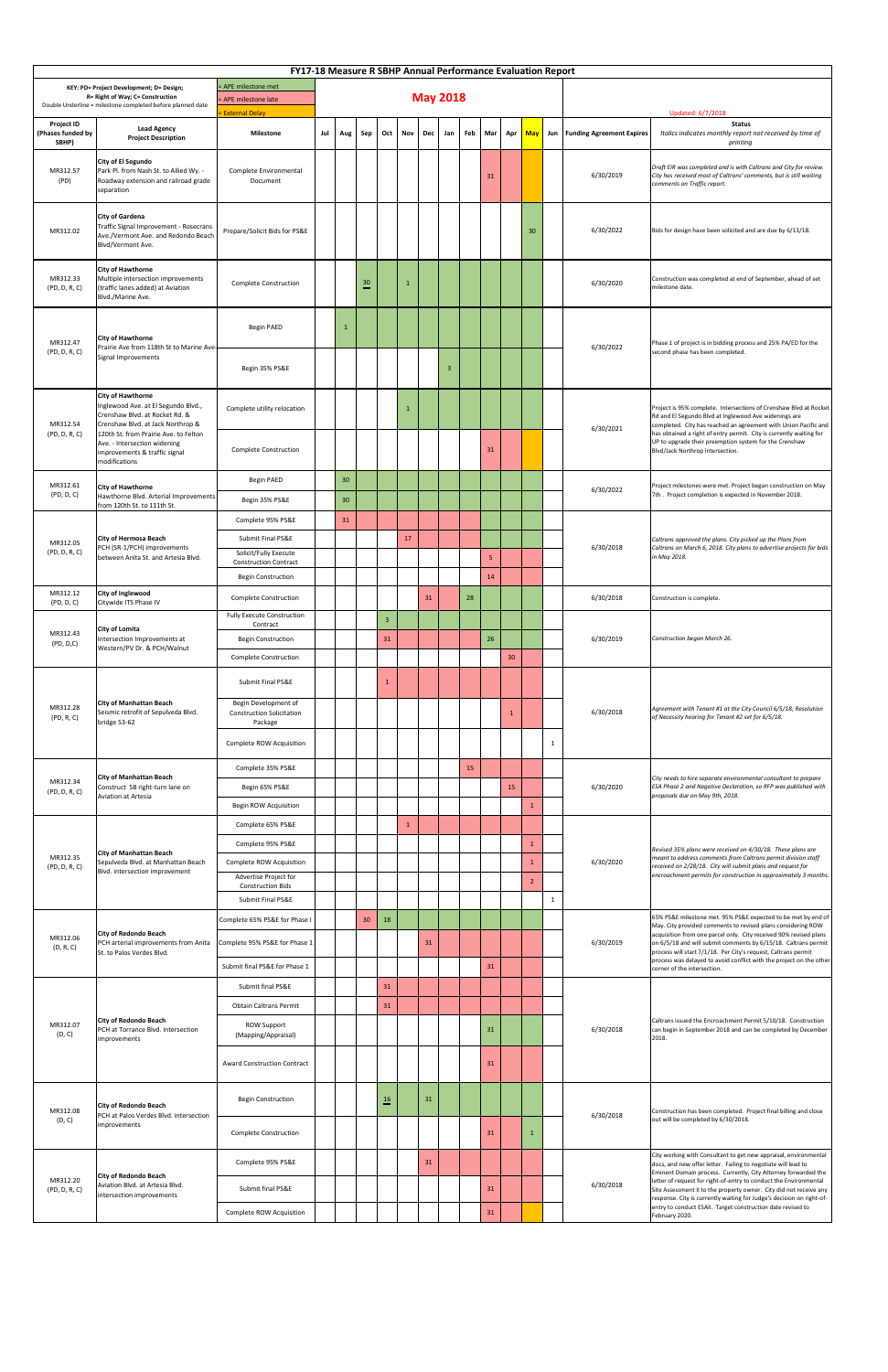|                                                                                                                                            |                                                                                                                                                                                                                      | <b>FY17-18 Measure R SBHP Annual Performance Evaluation Report</b>                                      |     |                 |                |                |                 |            |                |    |                      |     |                   |  |                                 |                                                                                                                                                                                                                                                                                                                                                                    |  |
|--------------------------------------------------------------------------------------------------------------------------------------------|----------------------------------------------------------------------------------------------------------------------------------------------------------------------------------------------------------------------|---------------------------------------------------------------------------------------------------------|-----|-----------------|----------------|----------------|-----------------|------------|----------------|----|----------------------|-----|-------------------|--|---------------------------------|--------------------------------------------------------------------------------------------------------------------------------------------------------------------------------------------------------------------------------------------------------------------------------------------------------------------------------------------------------------------|--|
| KEY: PD= Project Development; D= Design;<br>R= Right of Way; C= Construction<br>Double Underline = milestone completed before planned date | <b>APE</b> milestone met<br><b>APE</b> milestone late<br><b>External Delay</b>                                                                                                                                       |                                                                                                         |     |                 |                |                | <b>May 2018</b> |            |                |    |                      |     | Updated: 6/7/2018 |  |                                 |                                                                                                                                                                                                                                                                                                                                                                    |  |
| <b>Project ID</b><br>(Phases funded by<br>SBHP)                                                                                            | <b>Lead Agency</b><br><b>Project Description</b>                                                                                                                                                                     | <b>Milestone</b>                                                                                        | Jul | Aug             | Sep            | $Oct \ $       | <b>Nov</b>      | <b>Dec</b> | Jan            |    | Feb Mar              | Apr | <b>May</b>        |  | Jun   Funding Agreement Expires | <b>Status</b><br>Italics indicates monthly report not received by time of<br>printing                                                                                                                                                                                                                                                                              |  |
| MR312.57<br>(PD)                                                                                                                           | <b>City of El Segundo</b><br>Park Pl. from Nash St. to Allied Wy. -<br>Roadway extension and railroad grade<br>separation                                                                                            | Complete Environmental<br>Document                                                                      |     |                 |                |                |                 |            |                |    | 31                   |     |                   |  | 6/30/2019                       | Draft EIR was completed and is with Caltrans and City for review.<br>City has received most of Caltrans' comments, but is still waiting<br>comments on Traffic report.                                                                                                                                                                                             |  |
| MR312.02                                                                                                                                   | <b>City of Gardena</b><br>Traffic Signal Improvement - Rosecrans<br>Ave./Vermont Ave. and Redondo Beach<br>Blvd/Vermont Ave.                                                                                         | Prepare/Solicit Bids for PS&E                                                                           |     |                 |                |                |                 |            |                |    |                      |     | 30                |  | 6/30/2022                       | Bids for design have been solicited and are due by 6/13/18.                                                                                                                                                                                                                                                                                                        |  |
| MR312.33<br>(PD, D, R, C)                                                                                                                  | <b>City of Hawthorne</b><br>Multiple intersection improvements<br>(traffic lanes added) at Aviation<br>Blvd./Marine Ave.                                                                                             | <b>Complete Construction</b>                                                                            |     |                 | $\frac{30}{1}$ |                | $\mathbf{1}$    |            |                |    |                      |     |                   |  | 6/30/2020                       | Construction was completed at end of September, ahead of set<br>milestone date.                                                                                                                                                                                                                                                                                    |  |
| MR312.47<br>(PD, D, R, C)                                                                                                                  | <b>City of Hawthorne</b><br>Prairie Ave from 118th St to Marine Ave-<br>Signal Improvements                                                                                                                          | <b>Begin PAED</b>                                                                                       |     | 1               |                |                |                 |            |                |    |                      |     |                   |  | 6/30/2022                       | Phase 1 of project is in bidding process and 25% PA/ED for the<br>second phase has been completed.                                                                                                                                                                                                                                                                 |  |
|                                                                                                                                            | <b>City of Hawthorne</b>                                                                                                                                                                                             | Begin 35% PS&E                                                                                          |     |                 |                |                |                 |            | $\overline{3}$ |    |                      |     |                   |  |                                 |                                                                                                                                                                                                                                                                                                                                                                    |  |
| MR312.54<br>(PD, D, R, C)                                                                                                                  | Inglewood Ave. at El Segundo Blvd.,<br>Crenshaw Blvd. at Rocket Rd. &<br>Crenshaw Blvd. at Jack Northrop &<br>120th St. from Prairie Ave. to Felton<br>Ave. - Intersection widening<br>improvements & traffic signal | Complete utility relocation<br><b>Complete Construction</b>                                             |     |                 |                |                |                 |            |                |    | 31                   |     |                   |  | 6/30/2021                       | Project is 95% complete. Intersections of Crenshaw Blvd at Rocket<br>Rd and El Segundo Blvd at Inglewood Ave widenings are<br>completed. City has reached an agreement with Union Pacific and<br>has obtained a right of entry permit. City is currently waiting for<br>UP to upgrade their preemption system for the Crenshaw<br>Blvd/Jack Northrop intersection. |  |
| MR312.61                                                                                                                                   | modifications<br><b>City of Hawthorne</b>                                                                                                                                                                            | Begin PAED                                                                                              |     | 30              |                |                |                 |            |                |    |                      |     |                   |  |                                 | Project milestones were met. Project began construction on May                                                                                                                                                                                                                                                                                                     |  |
| (PD, D, C)                                                                                                                                 | Hawthorne Blvd. Arterial Improvements<br>from 120th St. to 111th St.                                                                                                                                                 | Begin 35% PS&E                                                                                          |     | 30 <sup>°</sup> |                |                |                 |            |                |    |                      |     |                   |  | 6/30/2022                       | 7th. Project completion is expected in November 2018.                                                                                                                                                                                                                                                                                                              |  |
|                                                                                                                                            |                                                                                                                                                                                                                      | Complete 95% PS&E                                                                                       |     | 31              |                |                |                 |            |                |    |                      |     |                   |  |                                 |                                                                                                                                                                                                                                                                                                                                                                    |  |
| MR312.05<br>(PD, D, R, C)                                                                                                                  | <b>City of Hermosa Beach</b><br>PCH (SR-1/PCH) improvements<br>between Anita St. and Artesia Blvd.                                                                                                                   | Submit Final PS&E<br>Solicit/Fully Execute<br><b>Construction Contract</b><br><b>Begin Construction</b> |     |                 |                |                | 17              |            |                |    | 5 <sub>o</sub><br>14 |     |                   |  | 6/30/2018                       | Caltrans approved the plans. City picked up the Plans from<br>Caltrans on March 6, 2018. City plans to advertise projects for bids<br>in May 2018.                                                                                                                                                                                                                 |  |
| MR312.12<br>(PD, D, C)                                                                                                                     | <b>City of Inglewood</b><br>Citywide ITS Phase IV                                                                                                                                                                    | <b>Complete Construction</b>                                                                            |     |                 |                |                |                 | 31         |                | 28 |                      |     |                   |  | 6/30/2018                       | Construction is complete.                                                                                                                                                                                                                                                                                                                                          |  |
|                                                                                                                                            |                                                                                                                                                                                                                      | <b>Fully Execute Construction</b><br>Contract                                                           |     |                 |                | $\overline{3}$ |                 |            |                |    |                      |     |                   |  |                                 |                                                                                                                                                                                                                                                                                                                                                                    |  |
| MR312.43<br>(PD, D, C)                                                                                                                     | <b>City of Lomita</b><br>Intersection Improvements at<br>Western/PV Dr. & PCH/Walnut                                                                                                                                 | <b>Begin Construction</b><br><b>Complete Construction</b>                                               |     |                 |                | 31             |                 |            |                |    | 26                   | 30  |                   |  | 6/30/2019                       | Construction began March 26.                                                                                                                                                                                                                                                                                                                                       |  |
|                                                                                                                                            |                                                                                                                                                                                                                      | Submit Final PS&E                                                                                       |     |                 |                |                |                 |            |                |    |                      |     |                   |  |                                 |                                                                                                                                                                                                                                                                                                                                                                    |  |
| MR312.28<br>(PD, R, C)                                                                                                                     | <b>City of Manhattan Beach</b><br>Seismic retrofit of Sepulveda Blvd.<br>bridge 53-62                                                                                                                                | Begin Development of<br><b>Construction Solicitation</b><br>Package                                     |     |                 |                |                |                 |            |                |    |                      | -1  |                   |  | 6/30/2018                       | Agreement with Tenant #1 at the City Council 6/5/18; Resolution<br>of Necessity hearing for Tenant #2 set for 6/5/18.                                                                                                                                                                                                                                              |  |
|                                                                                                                                            |                                                                                                                                                                                                                      | Complete ROW Acquisition                                                                                |     |                 |                |                |                 |            |                |    |                      |     |                   |  |                                 |                                                                                                                                                                                                                                                                                                                                                                    |  |
|                                                                                                                                            |                                                                                                                                                                                                                      | Complete 35% PS&E                                                                                       |     |                 |                |                |                 |            |                | 15 |                      |     |                   |  |                                 |                                                                                                                                                                                                                                                                                                                                                                    |  |
| MR312.34<br>(PD, D, R, C)                                                                                                                  | <b>City of Manhattan Beach</b><br>Construct SB right-turn lane on<br><b>Aviation at Artesia</b>                                                                                                                      | Begin 65% PS&E                                                                                          |     |                 |                |                |                 |            |                |    |                      | 15  |                   |  | 6/30/2020                       | City needs to hire separate environmental consultant to prepare<br>ESA Phase 2 and Negative Declaration, so RFP was published with<br>proposals due on May 9th, 2018.                                                                                                                                                                                              |  |
|                                                                                                                                            |                                                                                                                                                                                                                      | Begin ROW Acquisition                                                                                   |     |                 |                |                |                 |            |                |    |                      |     |                   |  |                                 |                                                                                                                                                                                                                                                                                                                                                                    |  |
|                                                                                                                                            |                                                                                                                                                                                                                      | Complete 65% PS&E<br>Complete 95% PS&E                                                                  |     |                 |                |                | 1               |            |                |    |                      |     |                   |  |                                 |                                                                                                                                                                                                                                                                                                                                                                    |  |
| MR312.35                                                                                                                                   | <b>City of Manhattan Beach</b><br>Sepulveda Blvd. at Manhattan Beach                                                                                                                                                 | Complete ROW Acquisition                                                                                |     |                 |                |                |                 |            |                |    |                      |     |                   |  | 6/30/2020                       | Revised 35% plans were received on 4/30/18. These plans are<br>meant to address comments from Caltrans permit division staff<br>received on 2/28/18. City will submit plans and request for                                                                                                                                                                        |  |
| (PD, D, R, C)                                                                                                                              | Blvd. intersection improvement                                                                                                                                                                                       | Advertise Project for<br><b>Construction Bids</b>                                                       |     |                 |                |                |                 |            |                |    |                      |     |                   |  |                                 | encroachment permits for construction in approximately 3 months.                                                                                                                                                                                                                                                                                                   |  |
|                                                                                                                                            |                                                                                                                                                                                                                      | <b>Submit Final PS&amp;E</b>                                                                            |     |                 |                |                |                 |            |                |    |                      |     |                   |  |                                 |                                                                                                                                                                                                                                                                                                                                                                    |  |
|                                                                                                                                            |                                                                                                                                                                                                                      | Complete 65% PS&E for Phase I                                                                           |     |                 | 30             | 18             |                 |            |                |    |                      |     |                   |  |                                 | 65% PS&E milestone met. 95% PS&E expected to be met by end of<br>May. City provided comments to revised plans considering ROW                                                                                                                                                                                                                                      |  |
| MR312.06<br>(D, R, C)                                                                                                                      | <b>City of Redondo Beach</b><br>PCH arterial improvements from Anita<br>St. to Palos Verdes Blvd.                                                                                                                    | Complete 95% PS&E for Phase 1                                                                           |     |                 |                |                |                 | 31         |                |    |                      |     |                   |  | 6/30/2019                       | acquisition from one parcel only. City received 90% revised plans<br>on 6/5/18 and will submit comments by 6/15/18. Caltrans permit<br>process will start 7/1/18. Per City's request, Caltrans permit                                                                                                                                                              |  |
|                                                                                                                                            |                                                                                                                                                                                                                      | Submit final PS&E for Phase 1                                                                           |     |                 |                |                |                 |            |                |    | 31                   |     |                   |  |                                 | process was delayed to avoid conflict with the project on the other<br>corner of the intersection.                                                                                                                                                                                                                                                                 |  |
|                                                                                                                                            |                                                                                                                                                                                                                      | Submit final PS&E                                                                                       |     |                 |                | 31             |                 |            |                |    |                      |     |                   |  |                                 |                                                                                                                                                                                                                                                                                                                                                                    |  |
|                                                                                                                                            | <b>City of Redondo Beach</b>                                                                                                                                                                                         | <b>Obtain Caltrans Permit</b>                                                                           |     |                 |                | 31             |                 |            |                |    |                      |     |                   |  |                                 | Caltrans issued the Encroachment Permit 5/10/18. Construction                                                                                                                                                                                                                                                                                                      |  |
| MR312.07<br>(D, C)                                                                                                                         | PCH at Torrance Blvd. intersection<br>improvements                                                                                                                                                                   | <b>ROW Support</b><br>(Mapping/Appraisal)                                                               |     |                 |                |                |                 |            |                |    | 31                   |     |                   |  | 6/30/2018                       | can begin in September 2018 and can be completed by December<br>2018.                                                                                                                                                                                                                                                                                              |  |
|                                                                                                                                            |                                                                                                                                                                                                                      | <b>Award Construction Contract</b>                                                                      |     |                 |                |                |                 |            |                |    | 31                   |     |                   |  |                                 |                                                                                                                                                                                                                                                                                                                                                                    |  |
| MR312.08<br>(D, C)                                                                                                                         | <b>City of Redondo Beach</b><br>PCH at Palos Verdes Blvd. intersection                                                                                                                                               | <b>Begin Construction</b>                                                                               |     |                 |                | $\frac{16}{1}$ |                 | 31         |                |    |                      |     |                   |  | 6/30/2018                       | Construction has been completed. Project final billing and close<br>out will be completed by 6/30/2018.                                                                                                                                                                                                                                                            |  |
|                                                                                                                                            | improvements                                                                                                                                                                                                         | <b>Complete Construction</b>                                                                            |     |                 |                |                |                 |            |                |    | 31                   |     |                   |  |                                 |                                                                                                                                                                                                                                                                                                                                                                    |  |
| MR312.20<br>(PD, D, R, C)                                                                                                                  | <b>City of Redondo Beach</b>                                                                                                                                                                                         | Complete 95% PS&E                                                                                       |     |                 |                |                |                 | 31         |                |    |                      |     |                   |  |                                 | City working with Consultant to get new appraisal, environmental<br>docs, and new offer letter. Failing to negotiate will lead to<br>Eminent Domain process. Currently, City Attorney forwarded the                                                                                                                                                                |  |
|                                                                                                                                            | Aviation Blvd. at Artesia Blvd.<br>intersection improvements                                                                                                                                                         | Submit final PS&E                                                                                       |     |                 |                |                |                 |            |                |    | 31                   |     |                   |  | 6/30/2018                       | letter of request for right-of-entry to conduct the Environmental<br>Site Assessment II to the property owner. City did not receive any<br>response. City is currently waiting for Judge's decision on right-of-<br>entry to conduct ESAII. Target construction date revised to                                                                                    |  |
|                                                                                                                                            |                                                                                                                                                                                                                      | Complete ROW Acquisition                                                                                |     |                 |                |                |                 |            |                |    | 31                   |     |                   |  |                                 | February 2020.                                                                                                                                                                                                                                                                                                                                                     |  |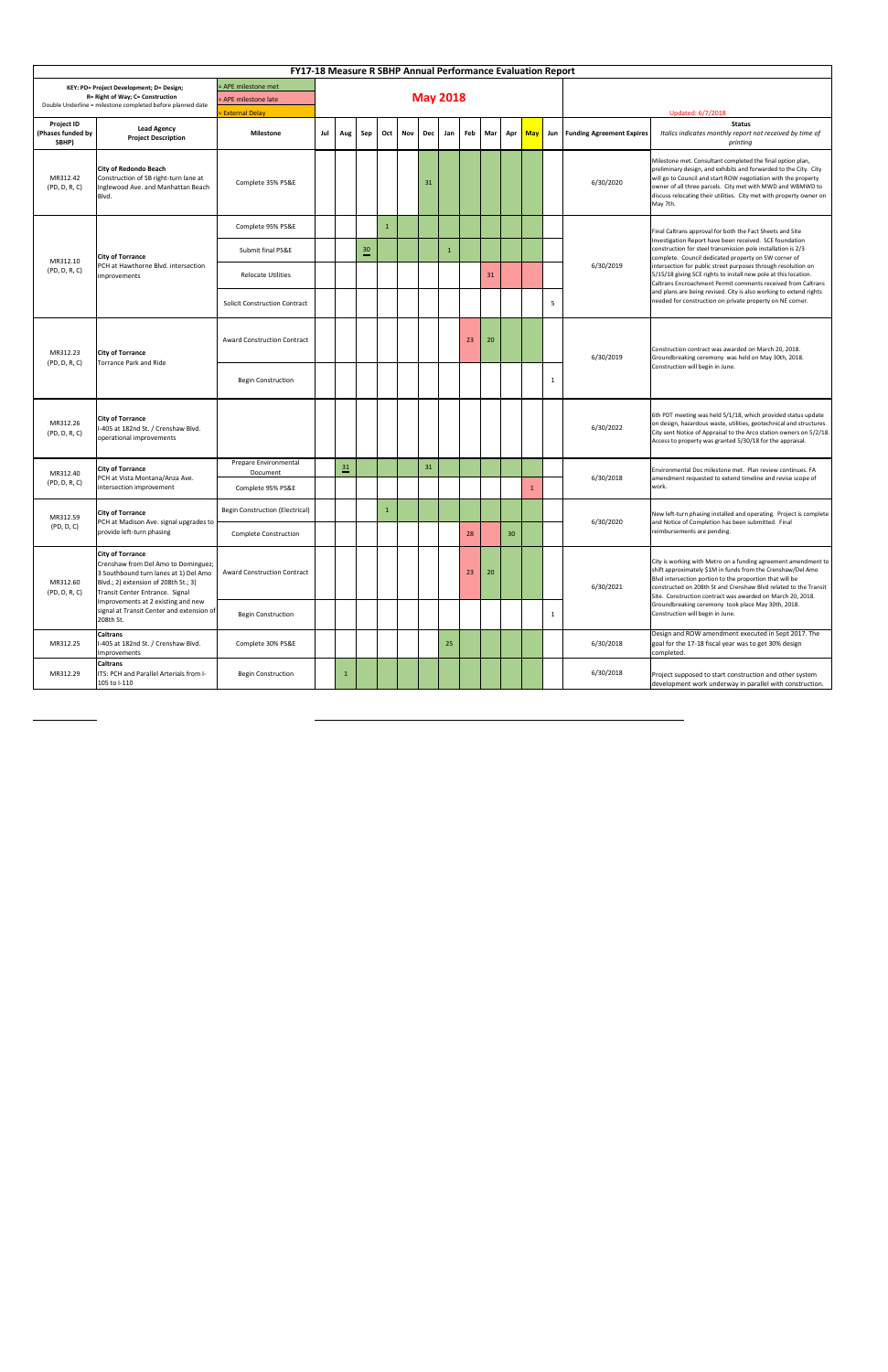|                                                 | <b>FY17-18 Measure R SBHP Annual Performance Evaluation Report</b>                                                                                                                                                      |                                                                 |     |                    |                    |     |     |            |                 |    |         |    |  |              |                                             |                                                                                                                                                                                                                                                                                                                                                   |
|-------------------------------------------------|-------------------------------------------------------------------------------------------------------------------------------------------------------------------------------------------------------------------------|-----------------------------------------------------------------|-----|--------------------|--------------------|-----|-----|------------|-----------------|----|---------|----|--|--------------|---------------------------------------------|---------------------------------------------------------------------------------------------------------------------------------------------------------------------------------------------------------------------------------------------------------------------------------------------------------------------------------------------------|
|                                                 | KEY: PD= Project Development; D= Design;<br>R= Right of Way; C= Construction<br>Double Underline = milestone completed before planned date                                                                              | = APE milestone met<br>- APE milestone late<br>= External Delay |     |                    |                    |     |     |            | <b>May 2018</b> |    |         |    |  |              | Updated: 6/7/2018                           |                                                                                                                                                                                                                                                                                                                                                   |
| <b>Project ID</b><br>(Phases funded by<br>SBHP) | <b>Lead Agency</b><br><b>Project Description</b>                                                                                                                                                                        | <b>Milestone</b>                                                | Jul | Aug                | Sep                | Oct | Nov | <b>Dec</b> | Jan             |    | Feb Mar |    |  |              | Apr   May   Jun   Funding Agreement Expires | <b>Status</b><br>Italics indicates monthly report not received by time of<br>printing                                                                                                                                                                                                                                                             |
| MR312.42<br>(PD, D, R, C)                       | <b>City of Redondo Beach</b><br>Construction of SB right-turn lane at<br>Inglewood Ave. and Manhattan Beach<br>Blvd.                                                                                                    | Complete 35% PS&E                                               |     |                    |                    |     |     | 31         |                 |    |         |    |  |              | 6/30/2020                                   | Milestone met. Consultant completed the final option plan,<br>preliminary design, and exhibits and forwarded to the City. City<br>will go to Council and start ROW negotiation with the property<br>owner of all three parcels. City met with MWD and WBMWD to<br>discuss relocating their utilities. City met with property owner on<br>May 7th. |
|                                                 |                                                                                                                                                                                                                         | Complete 95% PS&E                                               |     |                    |                    |     |     |            |                 |    |         |    |  |              |                                             | Final Caltrans approval for both the Fact Sheets and Site                                                                                                                                                                                                                                                                                         |
|                                                 | <b>City of Torrance</b>                                                                                                                                                                                                 | Submit final PS&E                                               |     |                    | $\stackrel{30}{=}$ |     |     |            |                 |    |         |    |  |              |                                             | Investigation Report have been received. SCE foundation<br>construction for steel transmission pole installation is 2/3<br>complete. Council dedicated property on SW corner of                                                                                                                                                                   |
| MR312.10<br>(PD, D, R, C)                       | PCH at Hawthorne Blvd. intersection<br>improvements                                                                                                                                                                     | <b>Relocate Utilities</b>                                       |     |                    |                    |     |     |            |                 |    | 31      |    |  |              | 6/30/2019                                   | intersection for public street purposes through resolution on<br>5/15/18 giving SCE rights to install new pole at this location.<br>Caltrans Encroachment Permit comments received from Caltrans                                                                                                                                                  |
|                                                 |                                                                                                                                                                                                                         | <b>Solicit Construction Contract</b>                            |     |                    |                    |     |     |            |                 |    |         |    |  | -5           |                                             | and plans are being revised. City is also working to extend rights<br>needed for construction on private property on NE corner.                                                                                                                                                                                                                   |
| MR312.23<br>(PD, D, R, C)                       | <b>City of Torrance</b><br>Torrance Park and Ride                                                                                                                                                                       | <b>Award Construction Contract</b>                              |     |                    |                    |     |     |            |                 | 23 | 20      |    |  |              | 6/30/2019                                   | Construction contract was awarded on March 20, 2018.<br>Groundbreaking ceremony was held on May 30th, 2018.<br>Construction will begin in June.                                                                                                                                                                                                   |
|                                                 |                                                                                                                                                                                                                         | <b>Begin Construction</b>                                       |     |                    |                    |     |     |            |                 |    |         |    |  | $\mathbf{1}$ |                                             |                                                                                                                                                                                                                                                                                                                                                   |
| MR312.26<br>(PD, D, R, C)                       | <b>City of Torrance</b><br>I-405 at 182nd St. / Crenshaw Blvd.<br>operational improvements                                                                                                                              |                                                                 |     |                    |                    |     |     |            |                 |    |         |    |  |              | 6/30/2022                                   | 6th PDT meeting was held 5/1/18, which provided status update<br>on design, hazardous waste, utilities, geotechnical and structures.<br>City sent Notice of Appraisal to the Arco station owners on 5/2/18.<br>Access to property was granted 5/30/18 for the appraisal.                                                                          |
| MR312.40                                        | <b>City of Torrance</b>                                                                                                                                                                                                 | Prepare Environmental<br>Document                               |     | $\stackrel{31}{=}$ |                    |     |     | 31         |                 |    |         |    |  |              |                                             | Environmental Doc milestone met. Plan review continues. FA                                                                                                                                                                                                                                                                                        |
| (PD, D, R, C)                                   | PCH at Vista Montana/Anza Ave.<br>intersection improvement                                                                                                                                                              | Complete 95% PS&E                                               |     |                    |                    |     |     |            |                 |    |         |    |  |              | 6/30/2018                                   | amendment requested to extend timeline and revise scope of<br>work.                                                                                                                                                                                                                                                                               |
| MR312.59                                        | <b>City of Torrance</b><br><b>PCH</b> at Madison Ave. signal upgrades to                                                                                                                                                | <b>Begin Construction (Electrical)</b>                          |     |                    |                    |     |     |            |                 |    |         |    |  |              | 6/30/2020                                   | New left-turn phasing installed and operating. Project is complete<br>and Notice of Completion has been submitted. Final                                                                                                                                                                                                                          |
| (PD, D, C)                                      | provide left-turn phasing                                                                                                                                                                                               | <b>Complete Construction</b>                                    |     |                    |                    |     |     |            |                 | 28 |         | 30 |  |              |                                             | reimbursements are pending.                                                                                                                                                                                                                                                                                                                       |
| MR312.60<br>(PD, D, R, C)                       | <b>City of Torrance</b><br>Crenshaw from Del Amo to Dominguez;<br>3 Southbound turn lanes at 1) Del Amo<br>Blvd.; 2) extension of 208th St.; 3)<br>Transit Center Entrance. Signal<br>mprovements at 2 existing and new | <b>Award Construction Contract</b>                              |     |                    |                    |     |     |            |                 | 23 | 20      |    |  |              | 6/30/2021                                   | City is working with Metro on a funding agreement amendment to<br>shift approximately \$1M in funds from the Crenshaw/Del Amo<br>Blvd intersection portion to the proportion that will be<br>constructed on 208th St and Crenshaw Blvd related to the Transit<br>Site. Construction contract was awarded on March 20, 2018.                       |
|                                                 | signal at Transit Center and extension of<br>208th St.                                                                                                                                                                  | <b>Begin Construction</b>                                       |     |                    |                    |     |     |            |                 |    |         |    |  | -1           |                                             | Groundbreaking ceremony took place May 30th, 2018.<br>Construction will begin in June.                                                                                                                                                                                                                                                            |
| MR312.25                                        | <b>Caltrans</b><br>-405 at 182nd St. / Crenshaw Blvd.<br>Improvements                                                                                                                                                   | Complete 30% PS&E                                               |     |                    |                    |     |     |            | 25              |    |         |    |  |              | 6/30/2018                                   | Design and ROW amendment executed in Sept 2017. The<br>goal for the 17-18 fiscal year was to get 30% design<br>completed.                                                                                                                                                                                                                         |
| MR312.29                                        | <b>Caltrans</b><br>ITS: PCH and Parallel Arterials from I-<br>105 to I-110                                                                                                                                              | <b>Begin Construction</b>                                       |     |                    |                    |     |     |            |                 |    |         |    |  |              | 6/30/2018                                   | Project supposed to start construction and other system<br>development work underway in parallel with construction.                                                                                                                                                                                                                               |